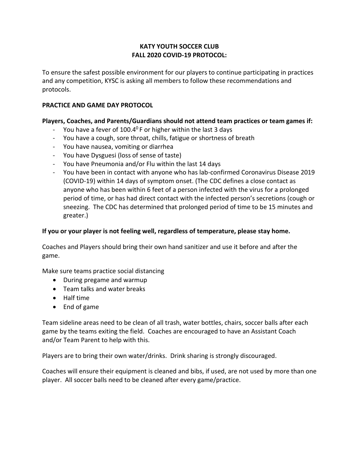# **KATY YOUTH SOCCER CLUB FALL 2020 COVID-19 PROTOCOL:**

To ensure the safest possible environment for our players to continue participating in practices and any competition, KYSC is asking all members to follow these recommendations and protocols.

# **PRACTICE AND GAME DAY PROTOCOL**

### **Players, Coaches, and Parents/Guardians should not attend team practices or team games if:**

- You have a fever of 100.4 $^{0}$ F or higher within the last 3 days
- You have a cough, sore throat, chills, fatigue or shortness of breath
- You have nausea, vomiting or diarrhea
- You have Dysguesi (loss of sense of taste)
- You have Pneumonia and/or Flu within the last 14 days
- You have been in contact with anyone who has lab-confirmed Coronavirus Disease 2019 (COVID-19) within 14 days of symptom onset. (The CDC defines a close contact as anyone who has been within 6 feet of a person infected with the virus for a prolonged period of time, or has had direct contact with the infected person's secretions (cough or sneezing. The CDC has determined that prolonged period of time to be 15 minutes and greater.)

# **If you or your player is not feeling well, regardless of temperature, please stay home.**

Coaches and Players should bring their own hand sanitizer and use it before and after the game.

Make sure teams practice social distancing

- During pregame and warmup
- Team talks and water breaks
- Half time
- End of game

Team sideline areas need to be clean of all trash, water bottles, chairs, soccer balls after each game by the teams exiting the field. Coaches are encouraged to have an Assistant Coach and/or Team Parent to help with this.

Players are to bring their own water/drinks. Drink sharing is strongly discouraged.

Coaches will ensure their equipment is cleaned and bibs, if used, are not used by more than one player. All soccer balls need to be cleaned after every game/practice.